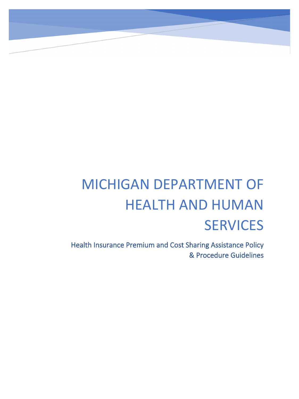# MICHIGAN DEPARTMENT OF HEALTH AND HUMAN **SERVICES**

Health Insurance Premium and Cost Sharing Assistance Policy & Procedure Guidelines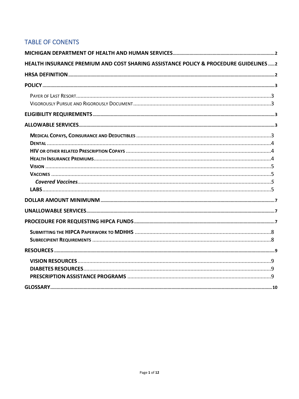## **TABLE OF CONENTS**

| HEALTH INSURANCE PREMIUM AND COST SHARING ASSISTANCE POLICY & PROCEDURE GUIDELINES 2 |  |
|--------------------------------------------------------------------------------------|--|
|                                                                                      |  |
|                                                                                      |  |
|                                                                                      |  |
|                                                                                      |  |
|                                                                                      |  |
|                                                                                      |  |
|                                                                                      |  |
|                                                                                      |  |
|                                                                                      |  |
|                                                                                      |  |
|                                                                                      |  |
|                                                                                      |  |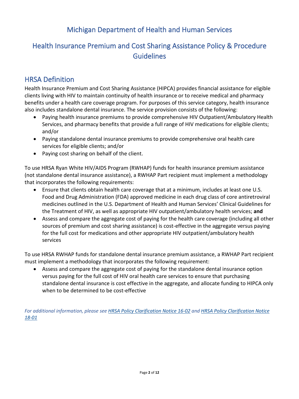# Michigan Department of Health and Human Services

# <span id="page-2-1"></span><span id="page-2-0"></span>Health Insurance Premium and Cost Sharing Assistance Policy & Procedure Guidelines

# <span id="page-2-2"></span>HRSA Definition

Health Insurance Premium and Cost Sharing Assistance (HIPCA) provides financial assistance for eligible clients living with HIV to maintain continuity of health insurance or to receive medical and pharmacy benefits under a health care coverage program. For purposes of this service category, health insurance also includes standalone dental insurance. The service provision consists of the following:

- Paying health insurance premiums to provide comprehensive HIV Outpatient/Ambulatory Health Services, and pharmacy benefits that provide a full range of HIV medications for eligible clients; and/or
- Paying standalone dental insurance premiums to provide comprehensive oral health care services for eligible clients; and/or
- Paying cost sharing on behalf of the client.

To use HRSA Ryan White HIV/AIDS Program (RWHAP) funds for health insurance premium assistance (not standalone dental insurance assistance), a RWHAP Part recipient must implement a methodology that incorporates the following requirements:

- Ensure that clients obtain health care coverage that at a minimum, includes at least one U.S. Food and Drug Administration (FDA) approved medicine in each drug class of core antiretroviral medicines outlined in the U.S. Department of Health and Human Services' Clinical Guidelines for the Treatment of HIV, as well as appropriate HIV outpatient/ambulatory health services; **and**
- Assess and compare the aggregate cost of paying for the health care coverage (including all other sources of premium and cost sharing assistance) is cost-effective in the aggregate versus paying for the full cost for medications and other appropriate HIV outpatient/ambulatory health services

To use HRSA RWHAP funds for standalone dental insurance premium assistance, a RWHAP Part recipient must implement a methodology that incorporates the following requirement:

• Assess and compare the aggregate cost of paying for the standalone dental insurance option versus paying for the full cost of HIV oral health care services to ensure that purchasing standalone dental insurance is cost effective in the aggregate, and allocate funding to HIPCA only when to be determined to be cost-effective

*For additional information, please se[e HRSA Policy Clarification Notice 16-02](https://hab.hrsa.gov/sites/default/files/hab/Global/service_category_pcn_16-02_final.pdf) an[d HRSA Policy Clarification Notice](https://hab.hrsa.gov/sites/default/files/hab/Global/service_category_pcn_16-02_final.pdf)  [18-01](https://hab.hrsa.gov/sites/default/files/hab/Global/service_category_pcn_16-02_final.pdf)*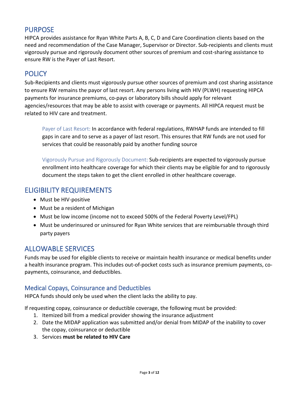## PURPOSE

HIPCA provides assistance for Ryan White Parts A, B, C, D and Care Coordination clients based on the need and recommendation of the Case Manager, Supervisor or Director. Sub-recipients and clients must vigorously pursue and rigorously document other sources of premium and cost-sharing assistance to ensure RW is the Payer of Last Resort.

# <span id="page-3-0"></span>**POLICY**

Sub-Recipients and clients must vigorously pursue other sources of premium and cost sharing assistance to ensure RW remains the payor of last resort. Any persons living with HIV (PLWH) requesting HIPCA payments for insurance premiums, co-pays or laboratory bills should apply for relevant agencies/resources that may be able to assist with coverage or payments. All HIPCA request must be related to HIV care and treatment.

<span id="page-3-1"></span>Payer of Last Resort: In accordance with federal regulations, RWHAP funds are intended to fill gaps in care and to serve as a payer of last resort. This ensures that RW funds are not used for services that could be reasonably paid by another funding source

<span id="page-3-2"></span>Vigorously Pursue and Rigorously Document: Sub-recipients are expected to vigorously pursue enrollment into healthcare coverage for which their clients may be eligible for and to rigorously document the steps taken to get the client enrolled in other healthcare coverage.

## <span id="page-3-3"></span>ELIGIBILITY REQUIREMENTS

- Must be HIV-positive
- Must be a resident of Michigan
- Must be low income (income not to exceed 500% of the Federal Poverty Level/FPL)
- Must be underinsured or uninsured for Ryan White services that are reimbursable through third party payers

## <span id="page-3-4"></span>ALLOWABLE SERVICES

Funds may be used for eligible clients to receive or maintain health insurance or medical benefits under a health insurance program. This includes out-of-pocket costs such as insurance premium payments, copayments, coinsurance, and deductibles.

#### <span id="page-3-5"></span>Medical Copays, Coinsurance and Deductibles

HIPCA funds should only be used when the client lacks the ability to pay.

If requesting copay, coinsurance or deductible coverage, the following must be provided:

- 1. Itemized bill from a medical provider showing the insurance adjustment
- 2. Date the MIDAP application was submitted and/or denial from MIDAP of the inability to cover the copay, coinsurance or deductible
- 3. Services **must be related to HIV Care**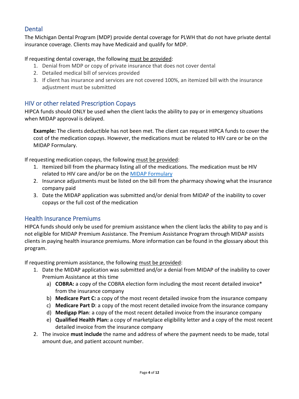## <span id="page-4-0"></span>**Dental**

The Michigan Dental Program (MDP) provide dental coverage for PLWH that do not have private dental insurance coverage. Clients may have Medicaid and qualify for MDP.

#### If requesting dental coverage, the following must be provided:

- 1. Denial from MDP or copy of private insurance that does not cover dental
- 2. Detailed medical bill of services provided
- 3. If client has insurance and services are not covered 100%, an itemized bill with the insurance adjustment must be submitted

## <span id="page-4-1"></span>HIV or other related Prescription Copays

HIPCA funds should ONLY be used when the client lacks the ability to pay or in emergency situations when MIDAP approval is delayed.

**Example:** The clients deductible has not been met. The client can request HIPCA funds to cover the cost of the medication copays. However, the medications must be related to HIV care or be on the MIDAP Formulary.

If requesting medication copays, the following must be provided:

- 1. Itemized bill from the pharmacy listing all of the medications. The medication must be HIV related to HIV care and/or be on the [MIDAP Formulary](https://www.bing.com/search?q=what+is+balance+billing&src=IE-SearchBox&FORM=IENAE2)
- 2. Insurance adjustments must be listed on the bill from the pharmacy showing what the insurance company paid
- 3. Date the MIDAP application was submitted and/or denial from MIDAP of the inability to cover copays or the full cost of the medication

## <span id="page-4-2"></span>Health Insurance Premiums

HIPCA funds should only be used for premium assistance when the client lacks the ability to pay and is not eligible for MIDAP Premium Assistance. The Premium Assistance Program through MIDAP assists clients in paying health insurance premiums. More information can be found in the glossary about this program.

If requesting premium assistance, the following must be provided:

- 1. Date the MIDAP application was submitted and/or a denial from MIDAP of the inability to cover Premium Assistance at this time
	- a) **COBRA:** a copy of the COBRA election form including the most recent detailed invoice\* from the insurance company
	- b) **Medicare Part C:** a copy of the most recent detailed invoice from the insurance company
	- c) **Medicare Part D**: a copy of the most recent detailed invoice from the insurance company
	- d) **Medigap Plan**: a copy of the most recent detailed invoice from the insurance company
	- e) **Qualified Health Plan:** a copy of marketplace eligibility letter and a copy of the most recent detailed invoice from the insurance company
- 2. The invoice **must include** the name and address of where the payment needs to be made, total amount due, and patient account number.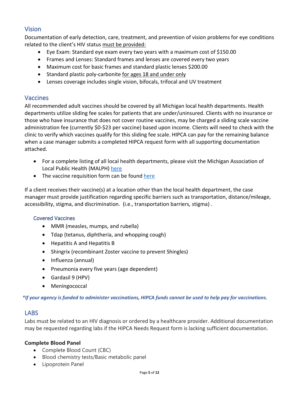## <span id="page-5-0"></span>Vision

Documentation of early detection, care, treatment, and prevention of vision problems for eye conditions related to the client's HIV status must be provided:

- Eye Exam: Standard eye exam every two years with a maximum cost of \$150.00
- Frames and Lenses: Standard frames and lenses are covered every two years
- Maximum cost for basic frames and standard plastic lenses \$200.00
- Standard plastic poly-carbonite for ages 18 and under only
- Lenses coverage includes single vision, bifocals, trifocal and UV treatment

#### <span id="page-5-1"></span>Vaccines

All recommended adult vaccines should be covered by all Michigan local health departments. Health departments utilize sliding fee scales for patients that are under/uninsured. Clients with no insurance or those who have insurance that does not cover routine vaccines, may be charged a sliding scale vaccine administration fee (currently \$0-\$23 per vaccine) based upon income. Clients will need to check with the clinic to verify which vaccines qualify for this sliding fee scale. HIPCA can pay for the remaining balance when a case manager submits a completed HIPCA request form with all supporting documentation attached.

- For a complete listing of all local health departments, please visit the Michigan Association of Local Public Health (MALPH) [here](https://www.malph.org/resources/directory)
- The vaccine requisition form can be found [here](https://www.sgrxhealth.com/drugassistanceprograms/MDHHS/Forms/Health%20Insurance%20Claim%20Form.pdf)

If a client receives their vaccine(s) at a location other than the local health department, the case manager must provide justification regarding specific barriers such as transportation, distance/mileage, accessibility, stigma, and discrimination. (i.e., transportation barriers, stigma) .

#### <span id="page-5-2"></span>Covered Vaccines

- MMR (measles, mumps, and rubella)
- Tdap (tetanus, diphtheria, and whopping cough)
- Hepatitis A and Hepatitis B
- Shingrix (recombinant Zoster vaccine to prevent Shingles)
- Influenza (annual)
- Pneumonia every five years (age dependent)
- Gardasil 9 (HPV)
- Meningococcal

*\*If your agency is funded to administer vaccinations, HIPCA funds cannot be used to help pay for vaccinations.*

## <span id="page-5-3"></span>LABS

Labs must be related to an HIV diagnosis or ordered by a healthcare provider. Additional documentation may be requested regarding labs if the HIPCA Needs Request form is lacking sufficient documentation.

#### **Complete Blood Panel**

- Complete Blood Count (CBC)
- Blood chemistry tests/Basic metabolic panel
- Lipoprotein Panel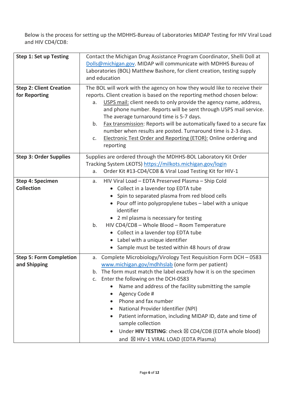Below is the process for setting up the MDHHS-Bureau of Laboratories MIDAP Testing for HIV Viral Load and HIV CD4/CD8:

| <b>Step 1: Set up Testing</b>                   | Contact the Michigan Drug Assistance Program Coordinator, Shelli Doll at<br>Dolls@michigan.gov. MIDAP will communicate with MDHHS Bureau of<br>Laboratories (BOL) Matthew Bashore, for client creation, testing supply<br>and education                                                                                                                                                                                                                                                                                                                                                                                                               |  |  |  |  |
|-------------------------------------------------|-------------------------------------------------------------------------------------------------------------------------------------------------------------------------------------------------------------------------------------------------------------------------------------------------------------------------------------------------------------------------------------------------------------------------------------------------------------------------------------------------------------------------------------------------------------------------------------------------------------------------------------------------------|--|--|--|--|
| <b>Step 2: Client Creation</b><br>for Reporting | The BOL will work with the agency on how they would like to receive their<br>reports. Client creation is based on the reporting method chosen below:<br>USPS mail: client needs to only provide the agency name, address,<br>a.<br>and phone number. Reports will be sent through USPS mail service.<br>The average turnaround time is 5-7 days.<br>Fax transmission: Reports will be automatically faxed to a secure fax<br>b.<br>number when results are posted. Turnaround time is 2-3 days.<br><b>Electronic Test Order and Reporting (ETOR): Online ordering and</b><br>c.<br>reporting                                                          |  |  |  |  |
| <b>Step 3: Order Supplies</b>                   | Supplies are ordered through the MDHHS-BOL Laboratory Kit Order<br>Tracking System LKOTS) https://milkots.michigan.gov/login<br>Order Kit #13-CD4/CD8 & Viral Load Testing Kit for HIV-1<br>a.                                                                                                                                                                                                                                                                                                                                                                                                                                                        |  |  |  |  |
| <b>Step 4: Specimen</b><br><b>Collection</b>    | HIV Viral Load - EDTA Preserved Plasma - Ship Cold<br>a.<br>Collect in a lavender top EDTA tube<br>$\bullet$<br>Spin to separated plasma from red blood cells<br>$\bullet$<br>Pour off into polypropylene tubes - label with a unique<br>$\bullet$<br>identifier<br>• 2 ml plasma is necessary for testing<br>HIV CD4/CD8 - Whole Blood - Room Temperature<br>b.<br>Collect in a lavender top EDTA tube<br>$\bullet$<br>Label with a unique identifier<br>$\bullet$<br>Sample must be tested within 48 hours of draw<br>$\bullet$                                                                                                                     |  |  |  |  |
| <b>Step 5: Form Completion</b><br>and Shipping  | Complete Microbiology/Virology Test Requisition Form DCH - 0583<br>а.<br>www.michigan.gov/mdhhslab (one form per patient)<br>The form must match the label exactly how it is on the specimen<br>b.<br>Enter the following on the DCH-0583<br>C <sub>1</sub><br>Name and address of the facility submitting the sample<br>Agency Code #<br>$\bullet$<br>Phone and fax number<br>National Provider Identifier (NPI)<br>$\bullet$<br>Patient information, including MIDAP ID, date and time of<br>$\bullet$<br>sample collection<br>Under HIV TESTING: check $\boxtimes$ CD4/CD8 (EDTA whole blood)<br>$\bullet$<br>and ⊠ HIV-1 VIRAL LOAD (EDTA Plasma) |  |  |  |  |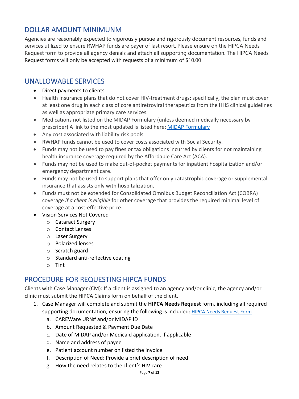# <span id="page-7-0"></span>DOLLAR AMOUNT MINIMUNM

Agencies are reasonably expected to vigorously pursue and rigorously document resources, funds and services utilized to ensure RWHAP funds are payer of last resort. Please ensure on the HIPCA Needs Request form to provide all agency denials and attach all supporting documentation. The HIPCA Needs Request forms will only be accepted with requests of a minimum of \$10.00

# <span id="page-7-1"></span>UNALLOWABLE SERVICES

- Direct payments to clients
- Health Insurance plans that do not cover HIV-treatment drugs; specifically, the plan must cover at least one drug in each class of core antiretroviral therapeutics from the HHS clinical guidelines as well as appropriate primary care services.
- Medications not listed on the MIDAP Formulary (unless deemed medically necessary by prescriber) A link to the most updated is listed here: [MIDAP Formulary](https://hab.hrsa.gov/sites/default/files/hab/Global/service_category_pcn_16-02_final.pdf)
- Any cost associated with liability risk pools.
- RWHAP funds cannot be used to cover costs associated with Social Security.
- Funds may not be used to pay fines or tax obligations incurred by clients for not maintaining health insurance coverage required by the Affordable Care Act (ACA).
- Funds may not be used to make out-of-pocket payments for inpatient hospitalization and/or emergency department care.
- Funds may not be used to support plans that offer only catastrophic coverage or supplemental insurance that assists only with hospitalization.
- Funds must not be extended for Consolidated Omnibus Budget Reconciliation Act (COBRA) coverage *if a client is eligible* for other coverage that provides the required minimal level of coverage at a cost-effective price.
- Vision Services Not Covered
	- o Cataract Surgery
	- o Contact Lenses
	- o Laser Surgery
	- o Polarized lenses
	- o Scratch guard
	- o Standard anti-reflective coating
	- o Tint

# <span id="page-7-2"></span>PROCEDURE FOR REQUESTING HIPCA FUNDS

Clients with Case Manager (CM): If a client is assigned to an agency and/or clinic, the agency and/or clinic must submit the HIPCA Claims form on behalf of the client.

- 1. Case Manager will complete and submit the **HIPCA Needs Request** form, including all required supporting documentation, ensuring the following is included: [HIPCA Needs Request Form](https://gcc02.safelinks.protection.outlook.com/?url=https%3A%2F%2Fwww.michigan.gov%2Fdocuments%2Fmdhhs%2FHealth_Insurance_Premium_Cost_Sharing_Assistance_HIPCA_Needs_Request_736890_7.dotx&data=04%7C01%7CDollS%40michigan.gov%7C7382288a22d34965477c08d9a61d2c84%7Cd5fb7087377742ad966a892ef47225d1%7C0%7C0%7C637723466489669101%7CUnknown%7CTWFpbGZsb3d8eyJWIjoiMC4wLjAwMDAiLCJQIjoiV2luMzIiLCJBTiI6Ik1haWwiLCJXVCI6Mn0%3D%7C1000&sdata=glvyXAG%2FZnRJYStVv5kS77T%2FiqYMox3nk21V10AyXcY%3D&reserved=0)
	- a. CAREWare URN# and/or MIDAP ID
	- b. Amount Requested & Payment Due Date
	- c. Date of MIDAP and/or Medicaid application, if applicable
	- d. Name and address of payee
	- e. Patient account number on listed the invoice
	- f. Description of Need: Provide a brief description of need
	- g. How the need relates to the client's HIV care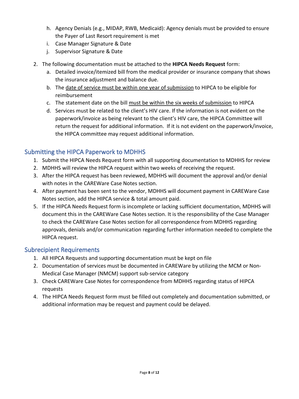- h. Agency Denials (e.g., MIDAP, RWB, Medicaid): Agency denials must be provided to ensure the Payer of Last Resort requirement is met
- i. Case Manager Signature & Date
- j. Supervisor Signature & Date
- 2. The following documentation must be attached to the **HIPCA Needs Request** form:
	- a. Detailed invoice/itemized bill from the medical provider or insurance company that shows the insurance adjustment and balance due.
	- b. The date of service must be within one year of submission to HIPCA to be eligible for reimbursement
	- c. The statement date on the bill must be within the six weeks of submission to HIPCA
	- d. Services must be related to the client's HIV care. If the information is not evident on the paperwork/invoice as being relevant to the client's HIV care, the HIPCA Committee will return the request for additional information. If it is not evident on the paperwork/invoice, the HIPCA committee may request additional information.

## <span id="page-8-0"></span>Submitting the HIPCA Paperwork to MDHHS

- 1. Submit the HIPCA Needs Request form with all supporting documentation to MDHHS for review
- 2. MDHHS will review the HIPCA request within two weeks of receiving the request.
- 3. After the HIPCA request has been reviewed, MDHHS will document the approval and/or denial with notes in the CAREWare Case Notes section.
- 4. After payment has been sent to the vendor, MDHHS will document payment in CAREWare Case Notes section, add the HIPCA service & total amount paid.
- 5. If the HIPCA Needs Request form is incomplete or lacking sufficient documentation, MDHHS will document this in the CAREWare Case Notes section. It is the responsibility of the Case Manager to check the CAREWare Case Notes section for all correspondence from MDHHS regarding approvals, denials and/or communication regarding further information needed to complete the HIPCA request.

#### <span id="page-8-1"></span>Subrecipient Requirements

- 1. All HIPCA Requests and supporting documentation must be kept on file
- 2. Documentation of services must be documented in CAREWare by utilizing the MCM or Non-Medical Case Manager (NMCM) support sub-service category
- 3. Check CAREWare Case Notes for correspondence from MDHHS regarding status of HIPCA requests
- 4. The HIPCA Needs Request form must be filled out completely and documentation submitted, or additional information may be request and payment could be delayed.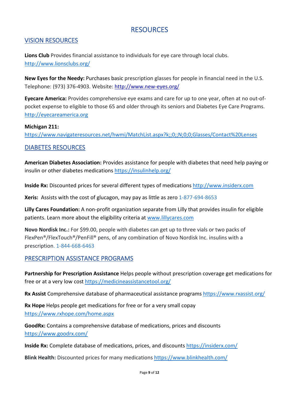# RESOURCES

#### <span id="page-9-1"></span><span id="page-9-0"></span>VISION RESOURCES

**Lions Club** Provides financial assistance to individuals for eye care through local clubs. <http://www.lionsclubs.org/>

**New Eyes for the Needy:** Purchases basic prescription glasses for people in financial need in the U.S. Telephone: (973) 376-4903. Website: <http://www.new-eyes.org/>

**Eyecare America:** Provides comprehensive eye exams and care for up to one year, often at no out-ofpocket expense to eligible to those 65 and older through its seniors and Diabetes Eye Care Programs. [http://eyecareamerica.org](http://eyecareamerica.org/) 

#### **Michigan 211:**

<https://www.navigateresources.net/hwmi/MatchList.aspx?k;;0;;N;0;0;Glasses/Contact%20Lenses>

#### <span id="page-9-2"></span>DIABETES RESOURCES

**American Diabetes Association:** Provides assistance for people with diabetes that need help paying or insulin or other diabetes medications<https://insulinhelp.org/>

**Inside Rx:** Discounted prices for several different types of medications [http://www.insiderx.com](http://www.insiderx.com/) 

**Xeris:** Assists with the cost of glucagon, may pay as little as zero 1-877-694-8653

**Lilly Cares Foundation:** A non-profit organization separate from Lilly that provides insulin for eligible patients. Learn more about the eligibility criteria at [www.lillycares.com](http://www.lillycares.com/)

**Novo Nordisk Inc.:** For \$99.00, people with diabetes can get up to three vials or two packs of FlexPen®/FlexTouch®/PenFill® pens, of any combination of Novo Nordisk Inc. insulins with a prescription. 1-844-668-6463

#### <span id="page-9-3"></span>PRESCRIPTION ASSISTANCE PROGRAMS

**Partnership for Prescription Assistance** Helps people without prescription coverage get medications for free or at a very low cost<https://medicineassistancetool.org/>

**Rx Assist** Comprehensive database of pharmaceutical assistance programs<https://www.rxassist.org/>

**Rx Hope** Helps people get medications for free or for a very small copay <https://www.rxhope.com/home.aspx>

**GoodRx:** Contains a comprehensive database of medications, prices and discounts <https://www.goodrx.com/>

**Inside Rx:** Complete database of medications, prices, and discounts<https://insiderx.com/>

**Blink Health:** Discounted prices for many medications <https://www.blinkhealth.com/>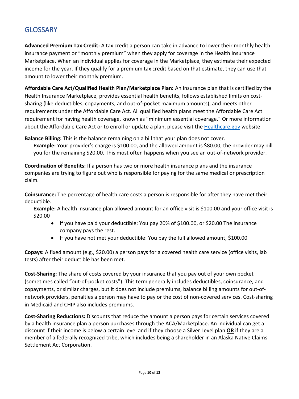# <span id="page-10-0"></span>**GLOSSARY**

**Advanced Premium Tax Credit:** A tax credit a person can take in advance to lower their monthly health insurance payment or "monthly premium" when they apply for coverage in the Health Insurance Marketplace. When an individual applies for coverage in the Marketplace, they estimate their expected income for the year. If they qualify for a premium tax credit based on that estimate, they can use that amount to lower their monthly premium.

**Affordable Care Act/Qualified Health Plan/Marketplace Plan:** An insurance plan that is certified by the Health Insurance Marketplace, provides essential health benefits, follows established limits on costsharing (like deductibles, copayments, and out-of-pocket maximum amounts), and meets other requirements under the Affordable Care Act. All qualified health plans meet the Affordable Care Act requirement for having health coverage, known as "minimum essential coverage." Or more information about the Affordable Care Act or to enroll or update a plan, please visit the [Healthcare.gov](https://www.healthcare.gov/) website

**Balance Billing:** This is the balance remaining on a bill that your plan does not cover.

Example: Your provider's charge is \$100.00, and the allowed amount is \$80.00, the provider may bill you for the remaining \$20.00. This most often happens when you see an out-of-network provider.

**Coordination of Benefits:** If a person has two or more health insurance plans and the insurance companies are trying to figure out who is responsible for paying for the same medical or prescription claim.

**Coinsurance:** The percentage of health care costs a person is responsible for after they have met their deductible.

**Example:** A health insurance plan allowed amount for an office visit is \$100.00 and your office visit is \$20.00

- If you have paid your deductible: You pay 20% of \$100.00, or \$20.00 The insurance company pays the rest.
- If you have not met your deductible: You pay the full allowed amount, \$100.00

**Copays:** A fixed amount (e.g., \$20.00) a person pays for a covered health care service (office visits, lab tests) after their deductible has been met.

**Cost-Sharing:** The share of costs covered by your insurance that you pay out of your own pocket (sometimes called "out-of-pocket costs"). This term generally includes deductibles, coinsurance, and copayments, or similar charges, but it does not include premiums, balance billing amounts for out-ofnetwork providers, penalties a person may have to pay or the cost of non-covered services. Cost-sharing in Medicaid and CHIP also includes premiums.

**Cost-Sharing Reductions:** Discounts that reduce the amount a person pays for certain services covered by a health insurance plan a person purchases through the ACA/Marketplace. An individual can get a discount if their income is below a certain level and if they choose a Silver Level plan **OR** if they are a member of a federally recognized tribe, which includes being a shareholder in an Alaska Native Claims Settlement Act Corporation.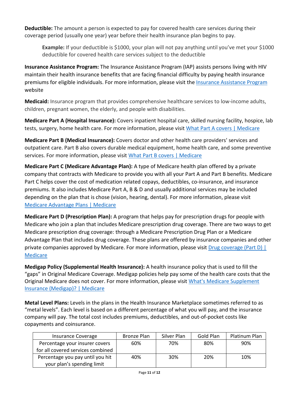**Deductible:** The amount a person is expected to pay for covered health care services during their coverage period (usually one year) year before their health insurance plan begins to pay.

**Example:** If your deductible is \$1000, your plan will not pay anything until you've met your \$1000 deductible for covered health care services subject to the deductible

**Insurance Assistance Program:** The Insurance Assistance Program (IAP) assists persons living with HIV maintain their health insurance benefits that are facing financial difficulty by paying health insurance premiums for eligible individuals. For more information, please visit the [Insurance Assistance Program](https://www.michigan.gov/mdhhs/0,5885,7-339-71550_2955_2982_70541_70542_78093---,00.html) website

**Medicaid:** Insurance program that provides comprehensive healthcare services to low-income adults, children, pregnant women, the elderly, and people with disabilities.

**Medicare Part A (Hospital Insurance):** Covers inpatient hospital care, skilled nursing facility, hospice, lab tests, surgery, home health care. For more information, please visit [What Part A covers | Medicare](https://www.medicare.gov/what-medicare-covers/what-part-a-covers)

**Medicare Part B (Medical Insurance):** Covers doctor and other health care providers' services and outpatient care. Part B also covers durable medical equipment, home health care, and some preventive services. For more information, please visit [What Part B covers | Medicare](https://www.medicare.gov/what-medicare-covers/what-part-b-covers)

**Medicare Part C (Medicare Advantage Plan):** A type of Medicare health plan offered by a private company that contracts with Medicare to provide you with all your Part A and Part B benefits. Medicare Part C helps cover the cost of medication related copays, deductibles, co-insurance, and insurance premiums. It also includes Medicare Part A, B & D and usually additional services may be included depending on the plan that is chose (vision, hearing, dental). For more information, please visit [Medicare Advantage Plans | Medicare](https://www.medicare.gov/sign-up-change-plans/types-of-medicare-health-plans/medicare-advantage-plans)

**Medicare Part D (Prescription Plan):** A program that helps pay for prescription drugs for people with Medicare who join a plan that includes Medicare prescription drug coverage. There are two ways to get Medicare prescription drug coverage: through a Medicare Prescription Drug Plan or a Medicare Advantage Plan that includes drug coverage. These plans are offered by insurance companies and other private companies approved by Medicare. For more information, please visit Drug coverage (Part D) | **[Medicare](https://www.medicare.gov/drug-coverage-part-d)** 

**Medigap Policy (Supplemental Health Insurance):** A health insurance policy that is used to fill the "gaps" in Original Medicare Coverage. Medigap policies help pay some of the health care costs that the Original Medicare does not cover. For more information, please visit [What's Medicare Supplement](https://www.medicare.gov/supplements-other-insurance/whats-medicare-supplement-insurance-medigap)  [Insurance \(Medigap\)? | Medicare](https://www.medicare.gov/supplements-other-insurance/whats-medicare-supplement-insurance-medigap)

**Metal Level Plans:** Levels in the plans in the Health Insurance Marketplace sometimes referred to as "metal levels". Each level is based on a different percentage of what you will pay, and the insurance company will pay. The total cost includes premiums, deductibles, and out-of-pocket costs like copayments and coinsurance.

| Insurance Coverage                | Bronze Plan | Silver Plan | Gold Plan | Platinum Plan |
|-----------------------------------|-------------|-------------|-----------|---------------|
| Percentage your insurer covers    | 60%         | 70%         | 80%       | 90%           |
| for all covered services combined |             |             |           |               |
| Percentage you pay until you hit  | 40%         | 30%         | 20%       | 10%           |
| your plan's spending limit        |             |             |           |               |